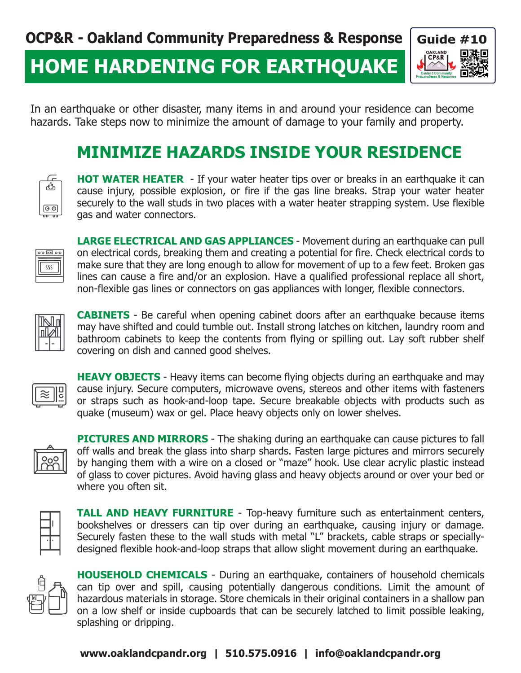# **HOME HARDENING FOR EARTHQUAKE**



In an earthquake or other disaster, many items in and around your residence can become hazards. Take steps now to minimize the amount of damage to your family and property.

### **MINIMIZE HAZARDS INSIDE YOUR RESIDENCE**



**HOT WATER HEATER** - If your water heater tips over or breaks in an earthquake it can cause injury, possible explosion, or fire if the gas line breaks. Strap your water heater securely to the wall studs in two places with a water heater strapping system. Use flexible gas and water connectors.



**LARGE ELECTRICAL AND GAS APPLIANCES** - Movement during an earthquake can pull on electrical cords, breaking them and creating a potential for fire. Check electrical cords to make sure that they are long enough to allow for movement of up to a few feet. Broken gas lines can cause a fire and/or an explosion. Have a qualified professional replace all short, non-flexible gas lines or connectors on gas appliances with longer, flexible connectors.



**CABINETS** - Be careful when opening cabinet doors after an earthquake because items may have shifted and could tumble out. Install strong latches on kitchen, laundry room and bathroom cabinets to keep the contents from flying or spilling out. Lay soft rubber shelf covering on dish and canned good shelves.



**HEAVY OBJECTS** - Heavy items can become flying objects during an earthquake and may cause injury. Secure computers, microwave ovens, stereos and other items with fasteners or straps such as hook-and-loop tape. Secure breakable objects with products such as quake (museum) wax or gel. Place heavy objects only on lower shelves.



**PICTURES AND MIRRORS** - The shaking during an earthquake can cause pictures to fall off walls and break the glass into sharp shards. Fasten large pictures and mirrors securely by hanging them with a wire on a closed or "maze" hook. Use clear acrylic plastic instead of glass to cover pictures. Avoid having glass and heavy objects around or over your bed or where you often sit.



**TALL AND HEAVY FURNITURE** - Top-heavy furniture such as entertainment centers, bookshelves or dressers can tip over during an earthquake, causing injury or damage. Securely fasten these to the wall studs with metal "L" brackets, cable straps or speciallydesigned flexible hook-and-loop straps that allow slight movement during an earthquake.



**HOUSEHOLD CHEMICALS** - During an earthquake, containers of household chemicals can tip over and spill, causing potentially dangerous conditions. Limit the amount of hazardous materials in storage. Store chemicals in their original containers in a shallow pan on a low shelf or inside cupboards that can be securely latched to limit possible leaking, splashing or dripping.